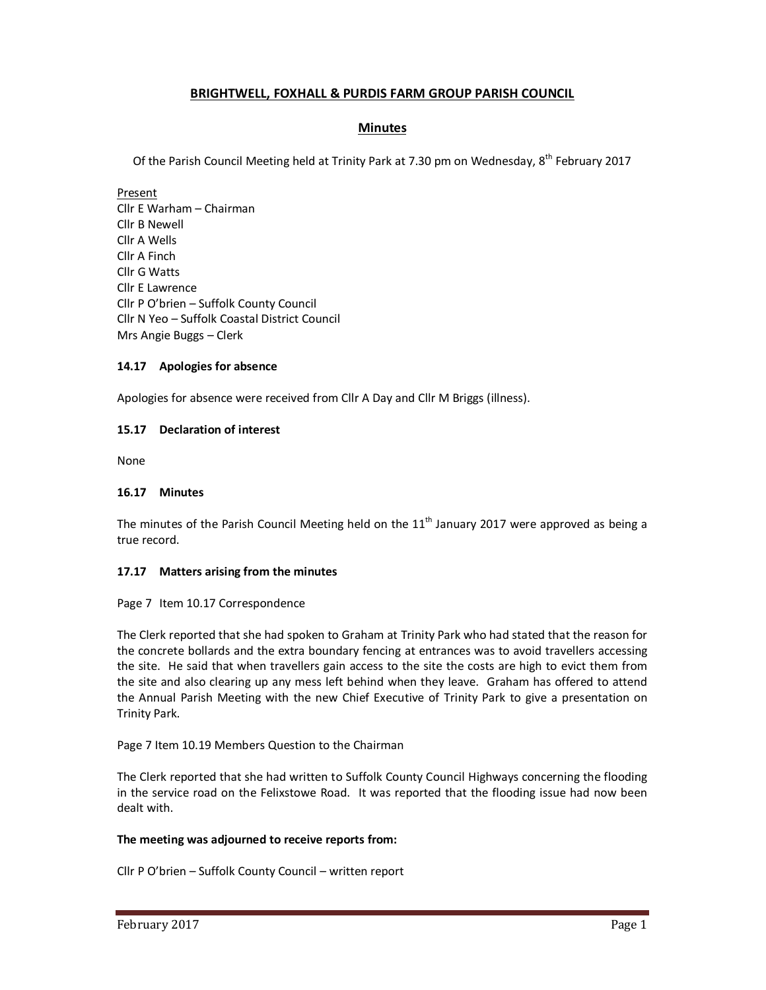# **BRIGHTWELL, FOXHALL & PURDIS FARM GROUP PARISH COUNCIL**

## **Minutes**

Of the Parish Council Meeting held at Trinity Park at 7.30 pm on Wednesday, 8<sup>th</sup> February 2017

Present Cllr E Warham – Chairman Cllr B Newell Cllr A Wells Cllr A Finch Cllr G Watts Cllr E Lawrence Cllr P O'brien – Suffolk County Council Cllr N Yeo – Suffolk Coastal District Council Mrs Angie Buggs – Clerk

## **14.17 Apologies for absence**

Apologies for absence were received from Cllr A Day and Cllr M Briggs (illness).

### **15.17 Declaration of interest**

None

### **16.17 Minutes**

The minutes of the Parish Council Meeting held on the  $11<sup>th</sup>$  January 2017 were approved as being a true record.

#### **17.17 Matters arising from the minutes**

Page 7 Item 10.17 Correspondence

The Clerk reported that she had spoken to Graham at Trinity Park who had stated that the reason for the concrete bollards and the extra boundary fencing at entrances was to avoid travellers accessing the site. He said that when travellers gain access to the site the costs are high to evict them from the site and also clearing up any mess left behind when they leave. Graham has offered to attend the Annual Parish Meeting with the new Chief Executive of Trinity Park to give a presentation on Trinity Park.

Page 7 Item 10.19 Members Question to the Chairman

The Clerk reported that she had written to Suffolk County Council Highways concerning the flooding in the service road on the Felixstowe Road. It was reported that the flooding issue had now been dealt with.

## **The meeting was adjourned to receive reports from:**

Cllr P O'brien – Suffolk County Council – written report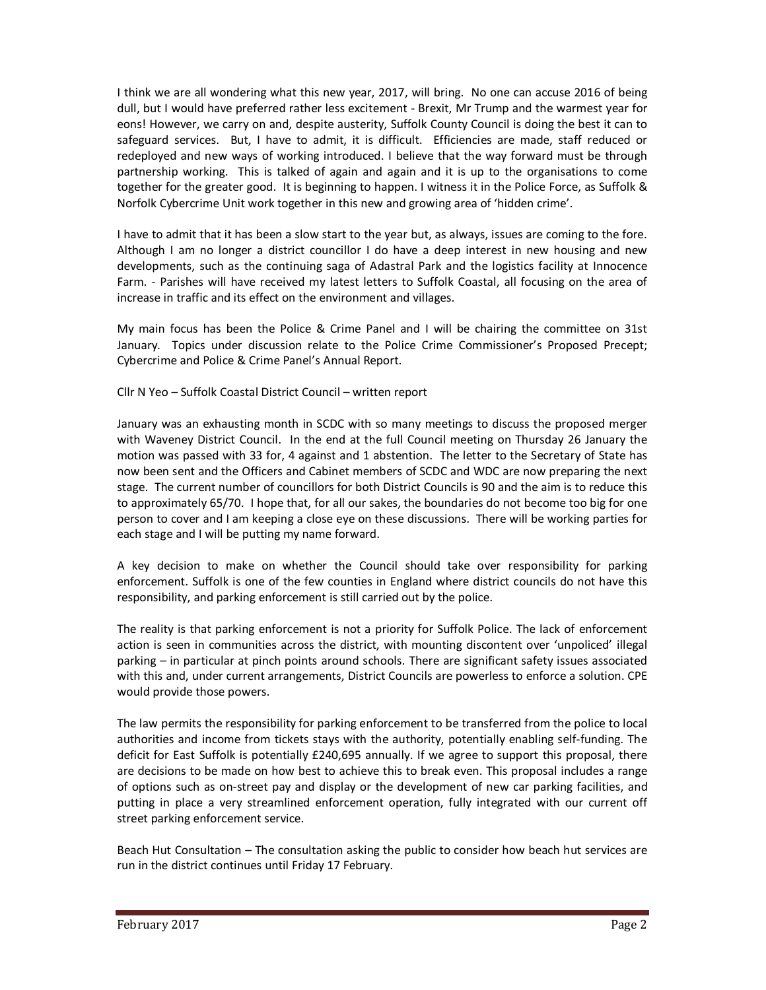I think we are all wondering what this new year, 2017, will bring. No one can accuse 2016 of being dull, but I would have preferred rather less excitement - Brexit, Mr Trump and the warmest year for eons! However, we carry on and, despite austerity, Suffolk County Council is doing the best it can to safeguard services. But, I have to admit, it is difficult. Efficiencies are made, staff reduced or redeployed and new ways of working introduced. I believe that the way forward must be through partnership working. This is talked of again and again and it is up to the organisations to come together for the greater good. It is beginning to happen. I witness it in the Police Force, as Suffolk & Norfolk Cybercrime Unit work together in this new and growing area of 'hidden crime'.

I have to admit that it has been a slow start to the year but, as always, issues are coming to the fore. Although I am no longer a district councillor I do have a deep interest in new housing and new developments, such as the continuing saga of Adastral Park and the logistics facility at Innocence Farm. - Parishes will have received my latest letters to Suffolk Coastal, all focusing on the area of increase in traffic and its effect on the environment and villages.

My main focus has been the Police & Crime Panel and I will be chairing the committee on 31st January. Topics under discussion relate to the Police Crime Commissioner's Proposed Precept; Cybercrime and Police & Crime Panel's Annual Report.

Cllr N Yeo – Suffolk Coastal District Council – written report

January was an exhausting month in SCDC with so many meetings to discuss the proposed merger with Waveney District Council. In the end at the full Council meeting on Thursday 26 January the motion was passed with 33 for, 4 against and 1 abstention. The letter to the Secretary of State has now been sent and the Officers and Cabinet members of SCDC and WDC are now preparing the next stage. The current number of councillors for both District Councils is 90 and the aim is to reduce this to approximately 65/70. I hope that, for all our sakes, the boundaries do not become too big for one person to cover and I am keeping a close eye on these discussions. There will be working parties for each stage and I will be putting my name forward.

A key decision to make on whether the Council should take over responsibility for parking enforcement. Suffolk is one of the few counties in England where district councils do not have this responsibility, and parking enforcement is still carried out by the police.

The reality is that parking enforcement is not a priority for Suffolk Police. The lack of enforcement action is seen in communities across the district, with mounting discontent over 'unpoliced' illegal parking – in particular at pinch points around schools. There are significant safety issues associated with this and, under current arrangements, District Councils are powerless to enforce a solution. CPE would provide those powers.

The law permits the responsibility for parking enforcement to be transferred from the police to local authorities and income from tickets stays with the authority, potentially enabling self-funding. The deficit for East Suffolk is potentially £240,695 annually. If we agree to support this proposal, there are decisions to be made on how best to achieve this to break even. This proposal includes a range of options such as on-street pay and display or the development of new car parking facilities, and putting in place a very streamlined enforcement operation, fully integrated with our current off street parking enforcement service.

Beach Hut Consultation – The consultation asking the public to consider how beach hut services are run in the district continues until Friday 17 February.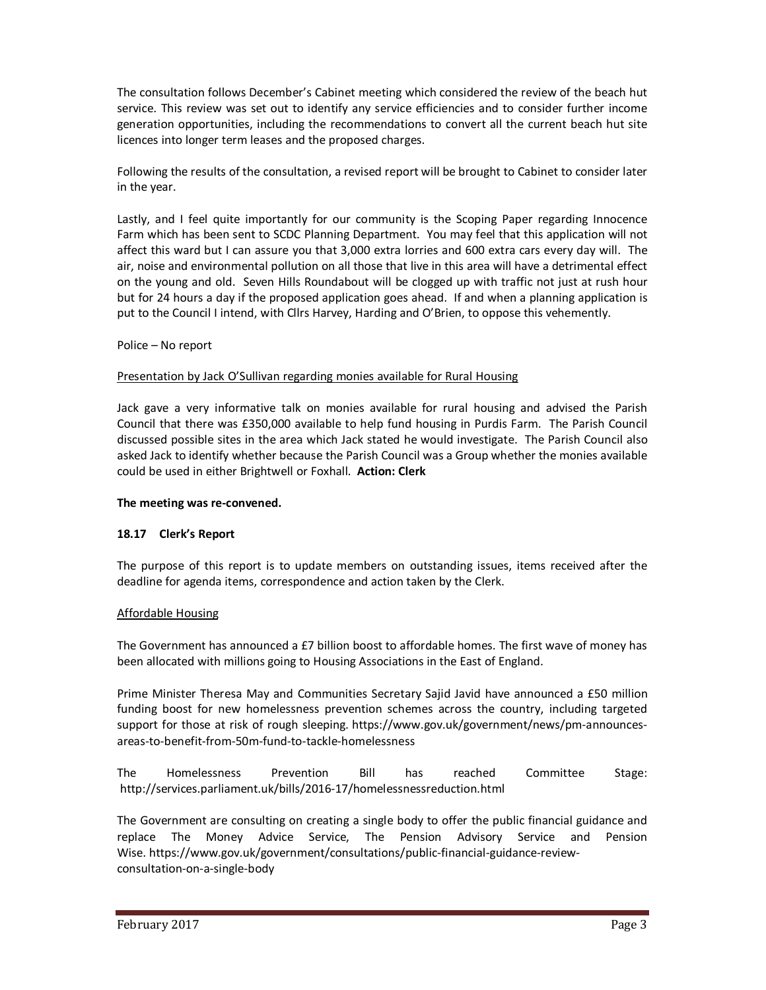The consultation follows December's Cabinet meeting which considered the review of the beach hut service. This review was set out to identify any service efficiencies and to consider further income generation opportunities, including the recommendations to convert all the current beach hut site licences into longer term leases and the proposed charges.

Following the results of the consultation, a revised report will be brought to Cabinet to consider later in the year.

Lastly, and I feel quite importantly for our community is the Scoping Paper regarding Innocence Farm which has been sent to SCDC Planning Department. You may feel that this application will not affect this ward but I can assure you that 3,000 extra lorries and 600 extra cars every day will. The air, noise and environmental pollution on all those that live in this area will have a detrimental effect on the young and old. Seven Hills Roundabout will be clogged up with traffic not just at rush hour but for 24 hours a day if the proposed application goes ahead. If and when a planning application is put to the Council I intend, with Cllrs Harvey, Harding and O'Brien, to oppose this vehemently.

### Police – No report

### Presentation by Jack O'Sullivan regarding monies available for Rural Housing

Jack gave a very informative talk on monies available for rural housing and advised the Parish Council that there was £350,000 available to help fund housing in Purdis Farm. The Parish Council discussed possible sites in the area which Jack stated he would investigate. The Parish Council also asked Jack to identify whether because the Parish Council was a Group whether the monies available could be used in either Brightwell or Foxhall. **Action: Clerk** 

#### **The meeting was re-convened.**

#### **18.17 Clerk's Report**

The purpose of this report is to update members on outstanding issues, items received after the deadline for agenda items, correspondence and action taken by the Clerk.

#### Affordable Housing

The Government has announced a £7 billion boost to affordable homes. The first wave of money has been allocated with millions going to Housing Associations in the East of England.

Prime Minister Theresa May and Communities Secretary Sajid Javid have announced a £50 million funding boost for new homelessness prevention schemes across the country, including targeted support for those at risk of rough sleeping. https://www.gov.uk/government/news/pm-announcesareas-to-benefit-from-50m-fund-to-tackle-homelessness

The Homelessness Prevention Bill has reached Committee Stage: http://services.parliament.uk/bills/2016-17/homelessnessreduction.html

The Government are consulting on creating a single body to offer the public financial guidance and replace The Money Advice Service, The Pension Advisory Service and Pension Wise. https://www.gov.uk/government/consultations/public-financial-guidance-reviewconsultation-on-a-single-body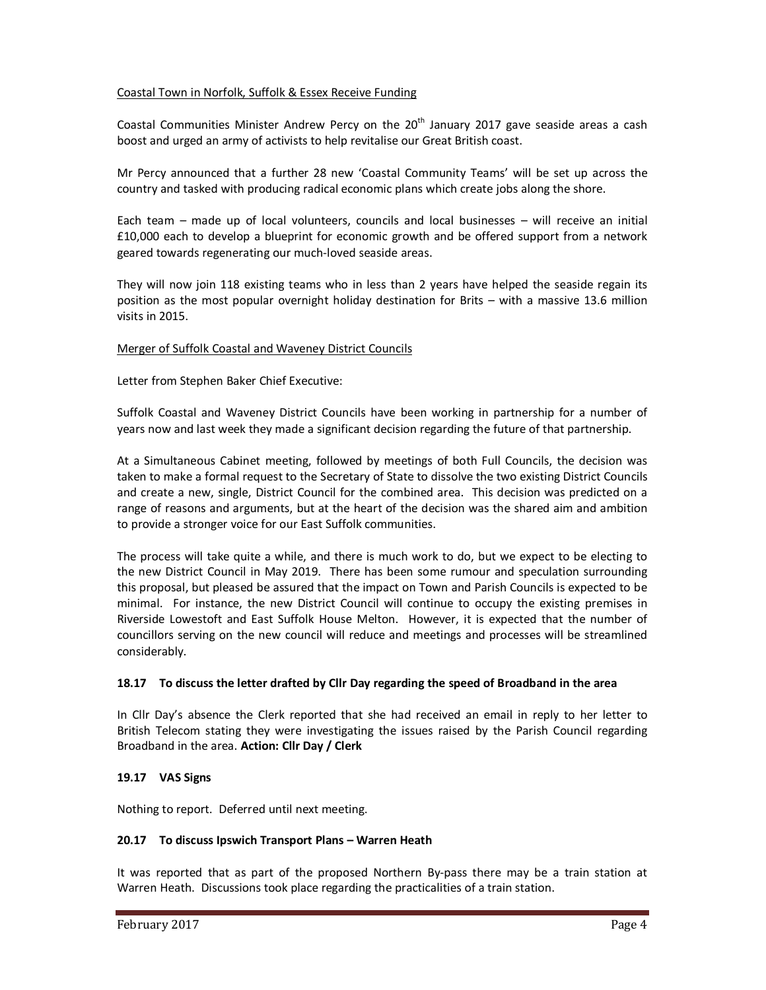## Coastal Town in Norfolk, Suffolk & Essex Receive Funding

Coastal Communities Minister Andrew Percy on the  $20<sup>th</sup>$  January 2017 gave seaside areas a cash boost and urged an army of activists to help revitalise our Great British coast.

Mr Percy announced that a further 28 new 'Coastal Community Teams' will be set up across the country and tasked with producing radical economic plans which create jobs along the shore.

Each team – made up of local volunteers, councils and local businesses – will receive an initial £10,000 each to develop a blueprint for economic growth and be offered support from a network geared towards regenerating our much-loved seaside areas.

They will now join 118 existing teams who in less than 2 years have helped the seaside regain its position as the most popular overnight holiday destination for Brits – with a massive 13.6 million visits in 2015.

### Merger of Suffolk Coastal and Waveney District Councils

Letter from Stephen Baker Chief Executive:

Suffolk Coastal and Waveney District Councils have been working in partnership for a number of years now and last week they made a significant decision regarding the future of that partnership.

At a Simultaneous Cabinet meeting, followed by meetings of both Full Councils, the decision was taken to make a formal request to the Secretary of State to dissolve the two existing District Councils and create a new, single, District Council for the combined area. This decision was predicted on a range of reasons and arguments, but at the heart of the decision was the shared aim and ambition to provide a stronger voice for our East Suffolk communities.

The process will take quite a while, and there is much work to do, but we expect to be electing to the new District Council in May 2019. There has been some rumour and speculation surrounding this proposal, but pleased be assured that the impact on Town and Parish Councils is expected to be minimal. For instance, the new District Council will continue to occupy the existing premises in Riverside Lowestoft and East Suffolk House Melton. However, it is expected that the number of councillors serving on the new council will reduce and meetings and processes will be streamlined considerably.

## **18.17 To discuss the letter drafted by Cllr Day regarding the speed of Broadband in the area**

In Cllr Day's absence the Clerk reported that she had received an email in reply to her letter to British Telecom stating they were investigating the issues raised by the Parish Council regarding Broadband in the area. **Action: Cllr Day / Clerk** 

## **19.17 VAS Signs**

Nothing to report. Deferred until next meeting.

#### **20.17 To discuss Ipswich Transport Plans – Warren Heath**

It was reported that as part of the proposed Northern By-pass there may be a train station at Warren Heath. Discussions took place regarding the practicalities of a train station.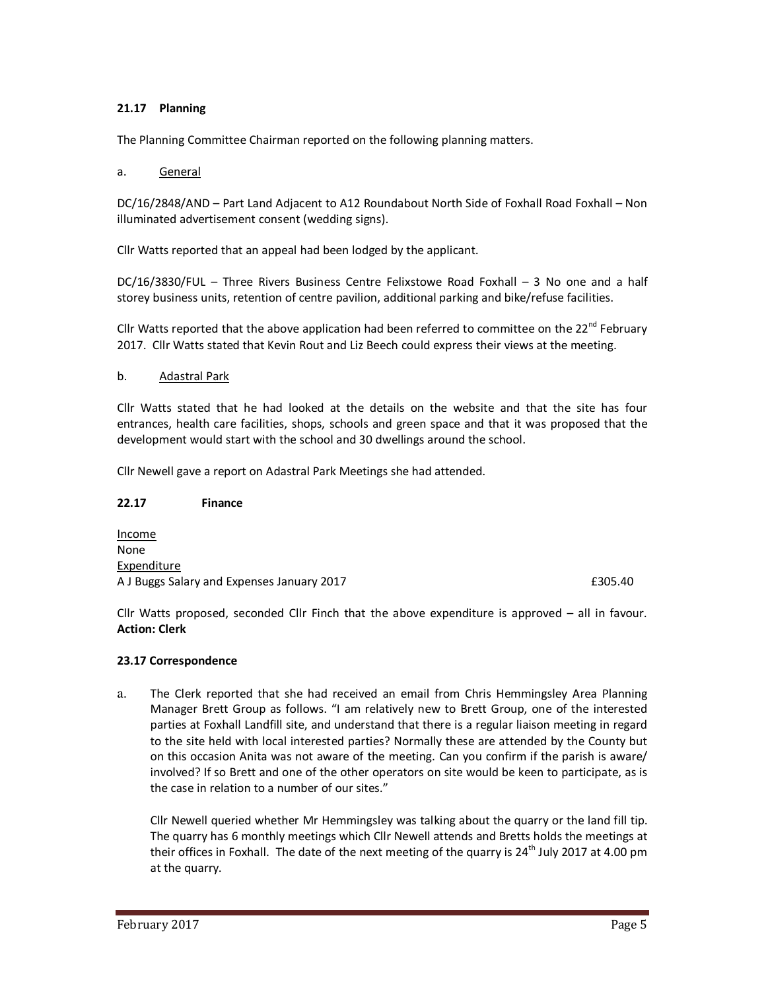## **21.17 Planning**

The Planning Committee Chairman reported on the following planning matters.

#### a. General

DC/16/2848/AND – Part Land Adjacent to A12 Roundabout North Side of Foxhall Road Foxhall – Non illuminated advertisement consent (wedding signs).

Cllr Watts reported that an appeal had been lodged by the applicant.

DC/16/3830/FUL – Three Rivers Business Centre Felixstowe Road Foxhall – 3 No one and a half storey business units, retention of centre pavilion, additional parking and bike/refuse facilities.

Cllr Watts reported that the above application had been referred to committee on the 22 $^{nd}$  February 2017. Cllr Watts stated that Kevin Rout and Liz Beech could express their views at the meeting.

#### b. Adastral Park

Cllr Watts stated that he had looked at the details on the website and that the site has four entrances, health care facilities, shops, schools and green space and that it was proposed that the development would start with the school and 30 dwellings around the school.

Cllr Newell gave a report on Adastral Park Meetings she had attended.

#### **22.17 Finance**

Income None Expenditure A J Buggs Salary and Expenses January 2017 **EXPENSION CONSTRUSTED ASSESS** 6305.40

Cllr Watts proposed, seconded Cllr Finch that the above expenditure is approved – all in favour. **Action: Clerk** 

### **23.17 Correspondence**

a. The Clerk reported that she had received an email from Chris Hemmingsley Area Planning Manager Brett Group as follows. "I am relatively new to Brett Group, one of the interested parties at Foxhall Landfill site, and understand that there is a regular liaison meeting in regard to the site held with local interested parties? Normally these are attended by the County but on this occasion Anita was not aware of the meeting. Can you confirm if the parish is aware/ involved? If so Brett and one of the other operators on site would be keen to participate, as is the case in relation to a number of our sites."

Cllr Newell queried whether Mr Hemmingsley was talking about the quarry or the land fill tip. The quarry has 6 monthly meetings which Cllr Newell attends and Bretts holds the meetings at their offices in Foxhall. The date of the next meeting of the quarry is  $24<sup>th</sup>$  July 2017 at 4.00 pm at the quarry.